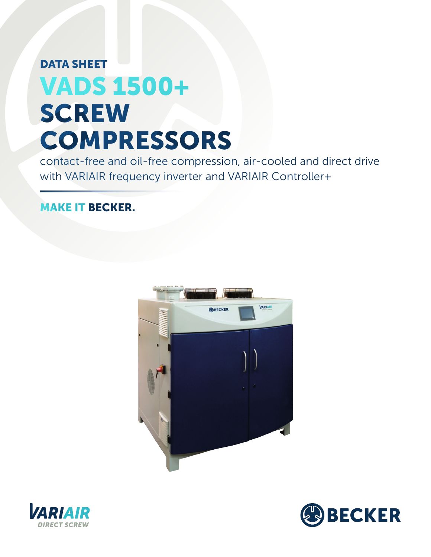## DATA SHEET VADS 1500+ **SCREW COMPRESSORS**

contact-free and oil-free compression, air-cooled and direct drive with VARIAIR frequency inverter and VARIAIR Controller+

## MAKE IT BECKER.





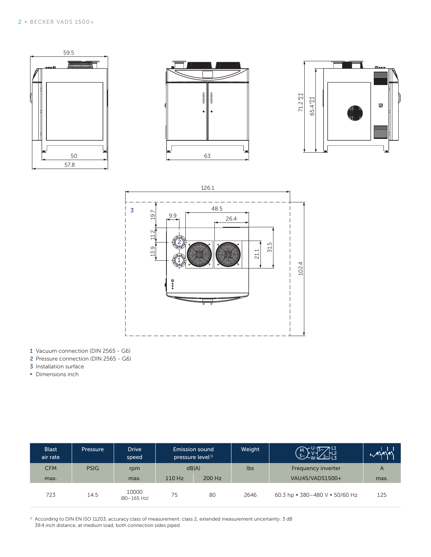



- 1 Vacuum connection (DIN 2565 G6)
- 2 Pressure connection (DIN 2565 G6)
- 3 Installation surface
- **▪** Dimensions inch

| <b>Blast</b><br>air rate | <b>Pressure</b> | <b>Drive</b><br>speed          | Emission sound<br>pressure level <sup>1)</sup> |        | Weight | $\frac{13}{3}$<br>$\begin{pmatrix} M \\ 3 \end{pmatrix}$ | $-1$ |
|--------------------------|-----------------|--------------------------------|------------------------------------------------|--------|--------|----------------------------------------------------------|------|
| <b>CFM</b>               | <b>PSIG</b>     | rpm                            | dB(A)                                          |        | lbs    | Frequency inverter                                       | A    |
| max.                     |                 | max.                           | 110 Hz                                         | 200 Hz |        | VAU45/VADS1500+                                          | max. |
| 723                      | 14.5            | 10000<br>$(80-165 \text{ Hz})$ | 75                                             | 80     | 2646   | 60.3 hp $\cdot$ 380-480 V $\cdot$ 50/60 Hz               | 125  |

<sup>1)</sup> According to DIN EN ISO 11203, accuracy class of measurement: class 2, extended measurement uncertainty: 3 dB 39.4 inch distance, at medium load, both connection sides piped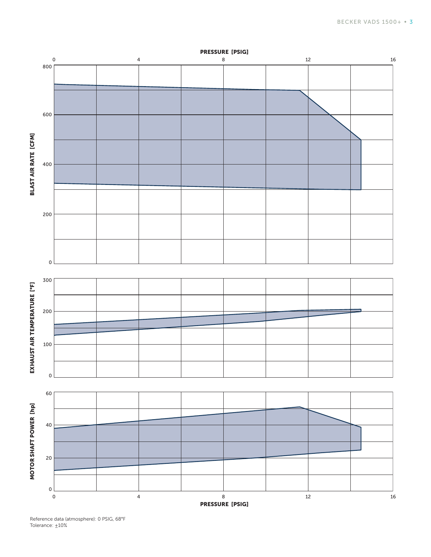

Reference data (atmosphere): 0 PSIG, 68°F Tolerance:  $±10%$